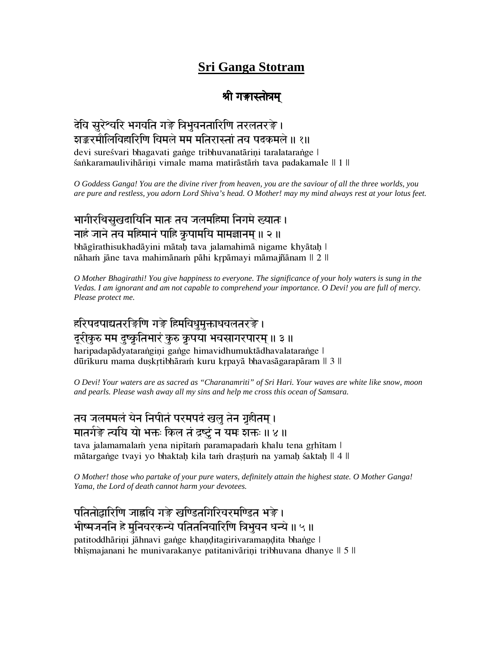# **Sri Ganga Stotram**

# $\ddot{\phantom{a}}$

# देवि सुरेश्वरि भगवति गङ्गे त्रिभुवनतारिणि तरलतरङ़े । राङ्करमौलिविहारिणि विमले मम मंतिरास्तां तव पदकमले ॥ १॥

devi sureśvari bhagavati gange tribhuvanatāriņi taralatarange | śankaramaulivihāriņi vimale mama matirāstām tava padakamale || 1 ||

*O Goddess Ganga! You are the divine river from heaven, you are the saviour of all the three worlds, you are pure and restless, you adorn Lord Shiva's head. O Mother! may my mind always rest at your lotus feet.*

# भागीरथिसुखदायिनि मातः तव जलमहिमा निगमे ख्यातः । नाहं जाने तव महिमानं पाहि कृपामयि मामज्ञानम् ॥ २ ॥

bhāgīrathisukhadāyini mātaḥ tava jalamahimā nigame khyātaḥ | nāham jāne tava mahimānam pāhi kŗpāmayi māmajñānam || 2 ||

*O Mother Bhagirathi! You give happiness to everyone. The significance of your holy waters is sung in the Vedas. I am ignorant and am not capable to comprehend your importance. O Devi! you are full of mercy. Please protect me.*

# हरिपदपाद्यतरङ़िणि गङ्गे हिमवि<u>धुमुक्ताधवलतरङ</u>़े। दुरीकुरु मम दुष्कृतिभारं कुरु कृपया भवसागरपारम् ॥ ३ ॥

haripadapādyatarangiņi gange himavidhumuktādhavalatarange | dūrīkuru mama duskrtibhāram kuru krpayā bhavasāgarapāram || 3 ||

*O Devi! Your waters are as sacred as "Charanamriti" of Sri Hari. Your waves are white like snow, moon and pearls. Please wash away all my sins and help me cross this ocean of Samsara.*

# तव जलममलं येन निपीतं परमपदं खलु तेन गृहीतम् ।

मातर्गङ़े त्वयि यो भक्तः किल तं द्रष्टुं न यमः शक्तः ॥ ४ ॥

tava jalamamalam yena nipītam paramapadam khalu tena gŗhītam l mātargange tvayi yo bhaktaḥ kila tam draṣṭum na yamaḥ śaktaḥ || 4 ||

*O Mother! those who partake of your pure waters, definitely attain the highest state. O Mother Ganga! Yama, the Lord of death cannot harm your devotees.*

### पतितोद्वारिणि जाह्नवि गङ्गे खण्डितगिरिवरमण्डित भङ्गे।

#### भीष्मजननि हे मुनिवरकन्ये पतितनिवारिणि त्रिभुवन धन्ये ॥ ५ ॥

patitoddhāriņi jāhnavi gange khaņditagirivaramandita bhange l bhismajanani he munivarakanye patitanivāriņi tribhuvana dhanye || 5 ||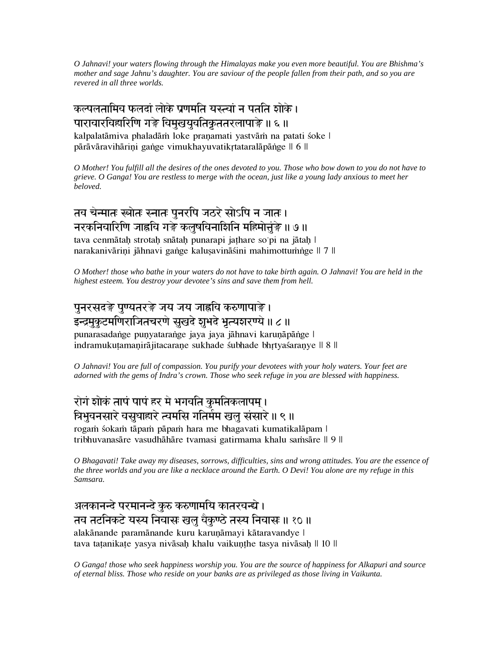*O Jahnavi! your waters flowing through the Himalayas make you even more beautiful. You are Bhishma's mother and sage Jahnu's daughter. You are saviour of the people fallen from their path, and so you are revered in all three worlds.*

े कल्पलतामिच फलदां लोके प्रणमंति यस्त्वां न पतति शोके । पारावारविहारिणि गङ्गे विमुखयुवतिकृततरलापाङ्गे ॥ ६ ॥ kalpalatāmiva phaladām loke praņamati yastvām na patati śoke l pārāvāravihārini gange vimukhayuvatikrtataralāpānge || 6 ||

*O Mother! You fulfill all the desires of the ones devoted to you. Those who bow down to you do not have to grieve. O Ganga! You are restless to merge with the ocean, just like a young lady anxious to meet her beloved.*

#### तव चेन्मातः स्त्रोतः स्नातः पनरपि जठरे सोऽपि न जातः | नरकनिवारिणि जाह्नवि गङ्गे कलुषविनाशिनि महिमोत्तुंङ्गे ॥ ७ ॥ tava cenmātah strotah snātah punarapi jathare so'pi na jātah l narakanivārini jāhnavi gange kalusavināśini mahimottumnge || 7 ||

*O Mother! those who bathe in your waters do not have to take birth again. O Jahnavi! You are held in the highest esteem. You destroy your devotee's sins and save them from hell.*

#### पुनरसदङ़े पुण्यतरङ़े जय जय जाह्नवि करुणापाङ़े । इन्द्रमकटमणिराजितचरणे सखदे **शभदे भत्यशरण्ये ॥ ८ ॥**

punarasadange punyatarange jaya jaya jāhnavi karuņāpānge | indramukutamanirājitacarane sukhade sµbhade bhrtyasaranye || 8 ||

*O Jahnavi! You are full of compassion. You purify your devotees with your holy waters. Your feet are adorned with the gems of Indra's crown. Those who seek refuge in you are blessed with happiness.*

### रोगं शोकं तापं पापं हर मे भगवति कुमतिकलापम। त्रिभुवनसारे वसुधाहारे त्वमसि गतिर्मम खलु संसारे ॥ ९ ॥

rogam śokam tāpam pāpam hara me bhagavati kumatikalāpam | tribhuvanasāre vasudhāhāre tvamasi gatirmama khalu samsāre || 9 ||

*O Bhagavati! Take away my diseases, sorrows, difficulties, sins and wrong attitudes. You are the essence of the three worlds and you are like a necklace around the Earth. O Devi! You alone are my refuge in this Samsara.*

अलकानन्दे परमानन्दे कुरु करुणामयि कातरवन्द्ये। तव तटनिकटे यस्य निवासः खलु वैकुण्ठे तस्य निवासः ॥ १० ॥ alakānande paramānande kuru karuņāmayi kātaravandye | tava tatanikate yasya nivāsah khalu vaikunthe tasya nivāsah || 10 ||

*O Ganga! those who seek happiness worship you. You are the source of happiness for Alkapuri and source of eternal bliss. Those who reside on your banks are as privileged as those living in Vaikunta.*